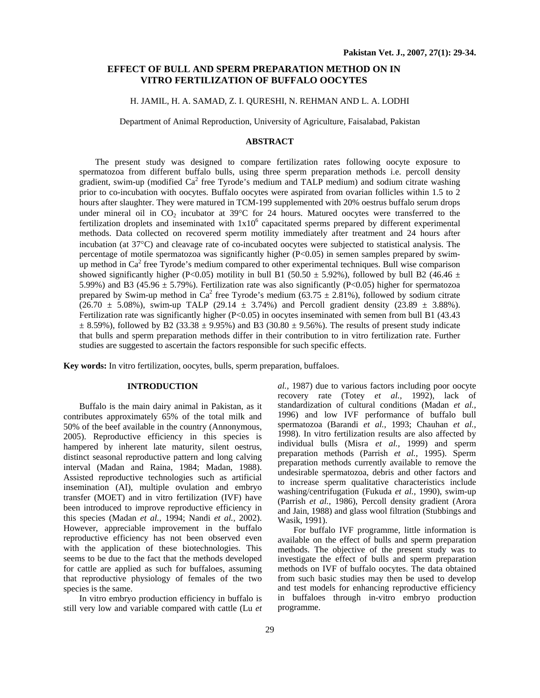# **EFFECT OF BULL AND SPERM PREPARATION METHOD ON IN VITRO FERTILIZATION OF BUFFALO OOCYTES**

# H. JAMIL, H. A. SAMAD, Z. I. QURESHI, N. REHMAN AND L. A. LODHI

Department of Animal Reproduction, University of Agriculture, Faisalabad, Pakistan

#### **ABSTRACT**

The present study was designed to compare fertilization rates following oocyte exposure to spermatozoa from different buffalo bulls, using three sperm preparation methods i.e. percoll density gradient, swim-up (modified Ca<sup>2</sup> free Tyrode's medium and TALP medium) and sodium citrate washing prior to co-incubation with oocytes. Buffalo oocytes were aspirated from ovarian follicles within 1.5 to 2 hours after slaughter. They were matured in TCM-199 supplemented with 20% oestrus buffalo serum drops under mineral oil in  $CO_2$  incubator at 39°C for 24 hours. Matured oocytes were transferred to the fertilization droplets and inseminated with  $1x10^6$  capacitated sperms prepared by different experimental methods. Data collected on recovered sperm motility immediately after treatment and 24 hours after incubation (at 37°C) and cleavage rate of co-incubated oocytes were subjected to statistical analysis. The percentage of motile spermatozoa was significantly higher (P<0.05) in semen samples prepared by swimup method in  $Ca^2$  free Tyrode's medium compared to other experimental techniques. Bull wise comparison showed significantly higher (P<0.05) motility in bull B1 (50.50  $\pm$  5.92%), followed by bull B2 (46.46  $\pm$ 5.99%) and B3 (45.96  $\pm$  5.79%). Fertilization rate was also significantly (P<0.05) higher for spermatozoa prepared by Swim-up method in Ca<sup>2</sup> free Tyrode's medium (63.75  $\pm$  2.81%), followed by sodium citrate  $(26.70 \pm 5.08\%)$ , swim-up TALP  $(29.14 \pm 3.74\%)$  and Percoll gradient density  $(23.89 \pm 3.88\%)$ . Fertilization rate was significantly higher (P<0.05) in oocytes inseminated with semen from bull B1 (43.43  $\pm$  8.59%), followed by B2 (33.38  $\pm$  9.95%) and B3 (30.80  $\pm$  9.56%). The results of present study indicate that bulls and sperm preparation methods differ in their contribution to in vitro fertilization rate. Further studies are suggested to ascertain the factors responsible for such specific effects.

**Key words:** In vitro fertilization, oocytes, bulls, sperm preparation, buffaloes.

#### **INTRODUCTION**

Buffalo is the main dairy animal in Pakistan, as it contributes approximately 65% of the total milk and 50% of the beef available in the country (Annonymous, 2005). Reproductive efficiency in this species is hampered by inherent late maturity, silent oestrus, distinct seasonal reproductive pattern and long calving interval (Madan and Raina, 1984; Madan, 1988). Assisted reproductive technologies such as artificial insemination (AI), multiple ovulation and embryo transfer (MOET) and in vitro fertilization (IVF) have been introduced to improve reproductive efficiency in this species (Madan *et al.,* 1994; Nandi *et al.,* 2002). However, appreciable improvement in the buffalo reproductive efficiency has not been observed even with the application of these biotechnologies. This seems to be due to the fact that the methods developed for cattle are applied as such for buffaloes, assuming that reproductive physiology of females of the two species is the same.

In vitro embryo production efficiency in buffalo is still very low and variable compared with cattle (Lu *et*  *al.,* 1987) due to various factors including poor oocyte recovery rate (Totey *et al.,* 1992), lack of standardization of cultural conditions (Madan *et al.,*  1996) and low IVF performance of buffalo bull spermatozoa (Barandi *et al.,* 1993; Chauhan *et al.,*  1998). In vitro fertilization results are also affected by individual bulls (Misra *et al.,* 1999) and sperm preparation methods (Parrish *et al.,* 1995). Sperm preparation methods currently available to remove the undesirable spermatozoa, debris and other factors and to increase sperm qualitative characteristics include washing/centrifugation (Fukuda *et al.,* 1990), swim-up (Parrish *et al.,* 1986), Percoll density gradient (Arora and Jain, 1988) and glass wool filtration (Stubbings and Wasik, 1991).

For buffalo IVF programme, little information is available on the effect of bulls and sperm preparation methods. The objective of the present study was to investigate the effect of bulls and sperm preparation methods on IVF of buffalo oocytes. The data obtained from such basic studies may then be used to develop and test models for enhancing reproductive efficiency in buffaloes through in-vitro embryo production programme.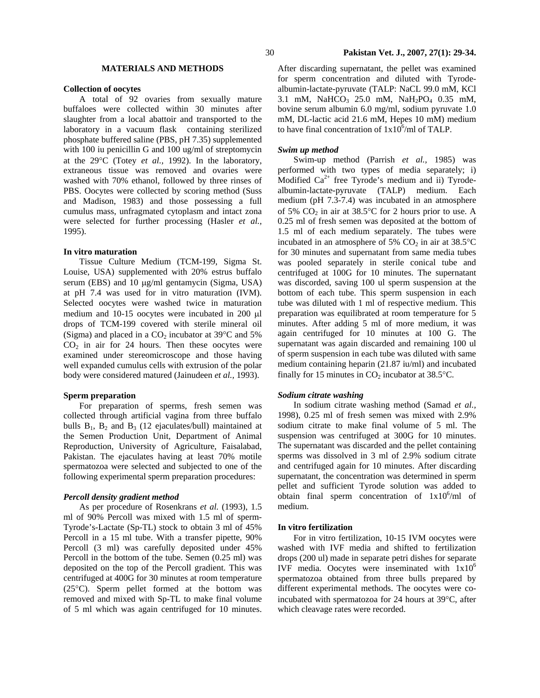# **MATERIALS AND METHODS**

#### **Collection of oocytes**

A total of 92 ovaries from sexually mature buffaloes were collected within 30 minutes after slaughter from a local abattoir and transported to the laboratory in a vacuum flask containing sterilized phosphate buffered saline (PBS, pH 7.35) supplemented with 100 iu penicillin G and 100 ug/ml of streptomycin at the 29°C (Totey *et al.,* 1992). In the laboratory, extraneous tissue was removed and ovaries were washed with 70% ethanol, followed by three rinses of PBS. Oocytes were collected by scoring method (Suss and Madison, 1983) and those possessing a full cumulus mass, unfragmated cytoplasm and intact zona were selected for further processing (Hasler *et al.,*  1995).

## **In vitro maturation**

Tissue Culture Medium (TCM-199, Sigma St. Louise, USA) supplemented with 20% estrus buffalo serum (EBS) and 10  $\mu$ g/ml gentamycin (Sigma, USA) at pH 7.4 was used for in vitro maturation (IVM). Selected oocytes were washed twice in maturation medium and 10-15 oocytes were incubated in 200 µl drops of TCM-199 covered with sterile mineral oil (Sigma) and placed in a  $CO<sub>2</sub>$  incubator at 39 $\degree$ C and 5%  $CO<sub>2</sub>$  in air for 24 hours. Then these oocytes were examined under stereomicroscope and those having well expanded cumulus cells with extrusion of the polar body were considered matured (Jainudeen *et al.,* 1993).

## **Sperm preparation**

For preparation of sperms, fresh semen was collected through artificial vagina from three buffalo bulls  $B_1$ ,  $B_2$  and  $B_3$  (12 ejaculates/bull) maintained at the Semen Production Unit, Department of Animal Reproduction, University of Agriculture, Faisalabad, Pakistan. The ejaculates having at least 70% motile spermatozoa were selected and subjected to one of the following experimental sperm preparation procedures:

#### *Percoll density gradient method*

 As per procedure of Rosenkrans *et al.* (1993), 1.5 ml of 90% Percoll was mixed with 1.5 ml of sperm-Tyrode's-Lactate (Sp-TL) stock to obtain 3 ml of 45% Percoll in a 15 ml tube. With a transfer pipette, 90% Percoll (3 ml) was carefully deposited under 45% Percoll in the bottom of the tube. Semen (0.25 ml) was deposited on the top of the Percoll gradient. This was centrifuged at 400G for 30 minutes at room temperature (25°C). Sperm pellet formed at the bottom was removed and mixed with Sp-TL to make final volume of 5 ml which was again centrifuged for 10 minutes.

After discarding supernatant, the pellet was examined for sperm concentration and diluted with Tyrodealbumin-lactate-pyruvate (TALP: NaCL 99.0 mM, KCl 3.1 mM, NaHCO<sub>3</sub> 25.0 mM, NaH<sub>2</sub>PO<sub>4</sub> 0.35 mM, bovine serum albumin 6.0 mg/ml, sodium pyruvate 1.0 mM, DL-lactic acid 21.6 mM, Hepes 10 mM) medium to have final concentration of  $1x10^6$ /ml of TALP.

## *Swim up method*

Swim-up method (Parrish *et al.,* 1985) was performed with two types of media separately; i) Modified  $Ca^{2+}$  free Tyrode's medium and ii) Tyrodealbumin-lactate-pyruvate (TALP) medium. Each medium (pH 7.3-7.4) was incubated in an atmosphere of 5%  $CO<sub>2</sub>$  in air at 38.5°C for 2 hours prior to use. A 0.25 ml of fresh semen was deposited at the bottom of 1.5 ml of each medium separately. The tubes were incubated in an atmosphere of 5%  $CO<sub>2</sub>$  in air at 38.5°C for 30 minutes and supernatant from same media tubes was pooled separately in sterile conical tube and centrifuged at 100G for 10 minutes. The supernatant was discorded, saving 100 ul sperm suspension at the bottom of each tube. This sperm suspension in each tube was diluted with 1 ml of respective medium. This preparation was equilibrated at room temperature for 5 minutes. After adding 5 ml of more medium, it was again centrifuged for 10 minutes at 100 G. The supernatant was again discarded and remaining 100 ul of sperm suspension in each tube was diluted with same medium containing heparin (21.87 iu/ml) and incubated finally for 15 minutes in  $CO<sub>2</sub>$  incubator at 38.5 $°C$ .

#### *Sodium citrate washing*

In sodium citrate washing method (Samad *et al.,*  1998), 0.25 ml of fresh semen was mixed with 2.9% sodium citrate to make final volume of 5 ml. The suspension was centrifuged at 300G for 10 minutes. The supernatant was discarded and the pellet containing sperms was dissolved in 3 ml of 2.9% sodium citrate and centrifuged again for 10 minutes. After discarding supernatant, the concentration was determined in sperm pellet and sufficient Tyrode solution was added to obtain final sperm concentration of  $1x10^6$ /ml of medium.

#### **In vitro fertilization**

 For in vitro fertilization, 10-15 IVM oocytes were washed with IVF media and shifted to fertilization drops (200 ul) made in separate petri dishes for separate IVF media. Oocytes were inseminated with  $1x10^6$ spermatozoa obtained from three bulls prepared by different experimental methods. The oocytes were coincubated with spermatozoa for 24 hours at 39°C, after which cleavage rates were recorded.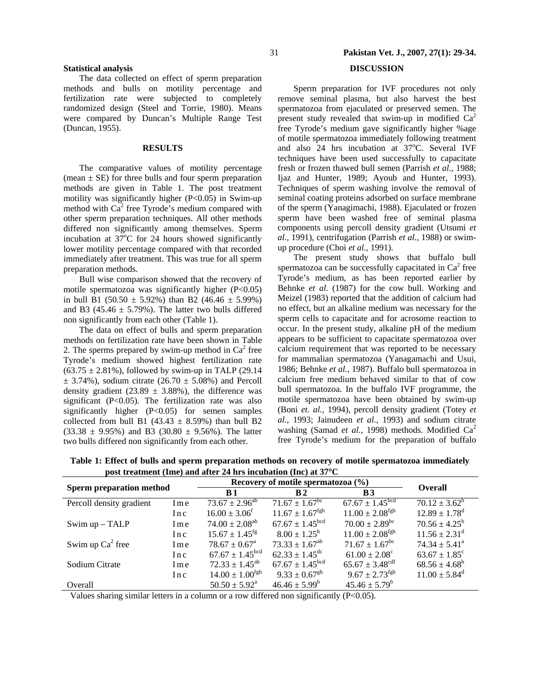## **Statistical analysis**

The data collected on effect of sperm preparation methods and bulls on motility percentage and fertilization rate were subjected to completely randomized design (Steel and Torrie, 1980). Means were compared by Duncan's Multiple Range Test (Duncan, 1955).

## **RESULTS**

 The comparative values of motility percentage (mean  $\pm$  SE) for three bulls and four sperm preparation methods are given in Table 1. The post treatment motility was significantly higher  $(P<0.05)$  in Swim-up method with  $Ca<sup>2</sup>$  free Tyrode's medium compared with other sperm preparation techniques. All other methods differed non significantly among themselves. Sperm incubation at  $37^{\circ}$ C for 24 hours showed significantly lower motility percentage compared with that recorded immediately after treatment. This was true for all sperm preparation methods.

Bull wise comparison showed that the recovery of motile spermatozoa was significantly higher (P<0.05) in bull B1 (50.50  $\pm$  5.92%) than B2 (46.46  $\pm$  5.99%) and B3 (45.46  $\pm$  5.79%). The latter two bulls differed non significantly from each other (Table 1).

The data on effect of bulls and sperm preparation methods on fertilization rate have been shown in Table 2. The sperms prepared by swim-up method in  $Ca<sup>2</sup>$  free Tyrode's medium showed highest fertilization rate  $(63.75 \pm 2.81\%)$ , followed by swim-up in TALP (29.14)  $\pm$  3.74%), sodium citrate (26.70  $\pm$  5.08%) and Percoll density gradient (23.89  $\pm$  3.88%), the difference was significant (P<0.05). The fertilization rate was also significantly higher (P<0.05) for semen samples collected from bull B1 (43.43  $\pm$  8.59%) than bull B2  $(33.38 \pm 9.95\%)$  and B3  $(30.80 \pm 9.56\%)$ . The latter two bulls differed non significantly from each other.

# 31 **Pakistan Vet. J., 2007, 27(1): 29-34.**

# **DISCUSSION**

 Sperm preparation for IVF procedures not only remove seminal plasma, but also harvest the best spermatozoa from ejaculated or preserved semen. The present study revealed that swim-up in modified  $Ca<sup>2</sup>$ free Tyrode's medium gave significantly higher %age of motile spermatozoa immediately following treatment and also 24 hrs incubation at 37°C. Several IVF techniques have been used successfully to capacitate fresh or frozen thawed bull semen (Parrish *et al.,* 1988; Ijaz and Hunter, 1989; Ayoub and Hunter, 1993). Techniques of sperm washing involve the removal of seminal coating proteins adsorbed on surface membrane of the sperm (Yanagimachi, 1988). Ejaculated or frozen sperm have been washed free of seminal plasma components using percoll density gradient (Utsumi *et al.,* 1991), centrifugation (Parrish *et al.,* 1988) or swimup procedure (Choi *et al.,* 1991).

 The present study shows that buffalo bull spermatozoa can be successfully capacitated in  $Ca<sup>2</sup>$  free Tyrode's medium, as has been reported earlier by Behnke *et al*. (1987) for the cow bull. Working and Meizel (1983) reported that the addition of calcium had no effect, but an alkaline medium was necessary for the sperm cells to capacitate and for acrosome reaction to occur. In the present study, alkaline pH of the medium appears to be sufficient to capacitate spermatozoa over calcium requirement that was reported to be necessary for mammalian spermatozoa (Yanagamachi and Usui, 1986; Behnke *et al.,* 1987). Buffalo bull spermatozoa in calcium free medium behaved similar to that of cow bull spermatozoa. In the buffalo IVF programme, the motile spermatozoa have been obtained by swim-up (Boni *et. al.,* 1994), percoll density gradient (Totey *et al.,* 1993; Jainudeen *et al.,* 1993) and sodium citrate washing (Samad *et al.,* 1998) methods. Modified Ca<sup>2</sup> free Tyrode's medium for the preparation of buffalo

| post treatment (mic) and after $\pi$ ms measured (me) at $\sigma$ $\sigma$ |     |                                       |                                  |                                 |                               |  |
|----------------------------------------------------------------------------|-----|---------------------------------------|----------------------------------|---------------------------------|-------------------------------|--|
|                                                                            |     | Recovery of motile spermatozoa $(\%)$ |                                  |                                 | <b>Overall</b>                |  |
| <b>Sperm preparation method</b>                                            |     | <b>B</b> 1                            | $\bf{R}2$                        | B <sub>3</sub>                  |                               |  |
| Percoll density gradient                                                   | Ime | $73.67 \pm 2.96^{ab}$                 | $71.67 \pm 1.67^{\overline{bc}}$ | $67.67 \pm 1.45$ <sup>bcd</sup> | $70.12 \pm 3.62^b$            |  |
|                                                                            | Inc | $16.00 \pm 3.06^{\text{f}}$           | $11.67 \pm 1.67$ <sup>fgh</sup>  | $11.00 \pm 2.08$ <sup>fgh</sup> | $12.89 \pm 1.78$ <sup>d</sup> |  |
| Swim up - TALP                                                             | Ime | $74.00 \pm 2.08^{ab}$                 | $67.67 \pm 1.45$ <sup>bcd</sup>  | $70.00 \pm 2.89$ <sup>bc</sup>  | $70.56 \pm 4.25^{\rm b}$      |  |
|                                                                            | Inc | $15.67 \pm 1.45$ <sup>fg</sup>        | $8.00 \pm 1.25^{\rm h}$          | $11.00 \pm 2.08$ <sup>fgh</sup> | $11.56 \pm 2.31^{\text{d}}$   |  |
| Swim up $Ca^2$ free                                                        | Ime | $78.67 \pm 0.67^{\text{a}}$           | $73.33 \pm 1.67^{ab}$            | $71.67 \pm 1.67^{\rm bc}$       | $74.34 \pm 5.41^{\circ}$      |  |
|                                                                            | Inc | $67.67 \pm 1.45$ <sup>bcd</sup>       | $62.33 \pm 1.45^{\text{dc}}$     | $61.00 \pm 2.08^{\circ}$        | $63.67 \pm 1.85^c$            |  |
| Sodium Citrate                                                             | Ime | $72.33 \pm 1.45^{ab}$                 | $67.67 \pm 1.45$ <sup>bcd</sup>  | $65.67 \pm 3.48$ <sup>cdf</sup> | $68.56 \pm 4.68^b$            |  |
|                                                                            | Inc | $14.00 \pm 1.00$ <sup>fgh</sup>       | $9.33 \pm 0.67$ <sup>gh</sup>    | $9.67 \pm 2.73^{\text{fgh}}$    | $11.00 \pm 5.84^{\text{d}}$   |  |
| Overall                                                                    |     | $50.50 \pm 5.92^{\text{a}}$           | $46.46 \pm 5.99^b$               | $45.46 \pm 5.79^b$              |                               |  |

**Table 1: Effect of bulls and sperm preparation methods on recovery of motile spermatozoa immediately post treatment (Ime) and after 24 hrs incubation (Inc) at 37**°**C** 

Values sharing similar letters in a column or a row differed non significantly  $(P<0.05)$ .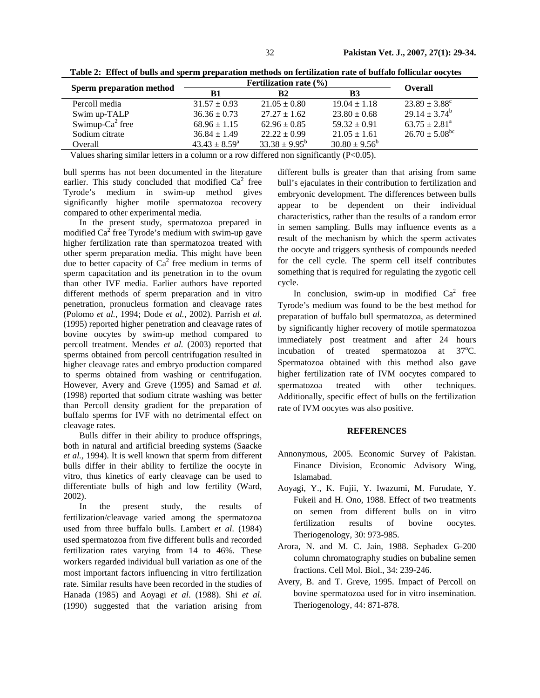|                                 | <b>Fertilization rate</b> $(\% )$ | <b>Overall</b>           |                    |                           |
|---------------------------------|-----------------------------------|--------------------------|--------------------|---------------------------|
| <b>Sperm preparation method</b> | B1                                | <b>B2</b>                | B <sub>3</sub>     |                           |
| Percoll media                   | $31.57 \pm 0.93$                  | $21.05 \pm 0.80$         | $19.04 \pm 1.18$   | $23.89 \pm 3.88^{\circ}$  |
| Swim up-TALP                    | $36.36 \pm 0.73$                  | $27.27 + 1.62$           | $23.80 \pm 0.68$   | $29.14 \pm 3.74^b$        |
| Swimup- $Ca^2$ free             | $68.96 \pm 1.15$                  | $62.96 \pm 0.85$         | $59.32 \pm 0.91$   | $63.75 \pm 2.81^{\circ}$  |
| Sodium citrate                  | $36.84 \pm 1.49$                  | $22.22 \pm 0.99$         | $21.05 \pm 1.61$   | $26.70 \pm 5.08^{\rm bc}$ |
| Overall                         | $43.43 \pm 8.59^{\circ}$          | $33.38 \pm 9.95^{\rm b}$ | $30.80 \pm 9.56^b$ |                           |

**Table 2: Effect of bulls and sperm preparation methods on fertilization rate of buffalo follicular oocytes** 

Values sharing similar letters in a column or a row differed non significantly (P<0.05).

bull sperms has not been documented in the literature earlier. This study concluded that modified  $Ca<sup>2</sup>$  free Tyrode's medium in swim-up method gives significantly higher motile spermatozoa recovery compared to other experimental media.

 In the present study, spermatozoa prepared in modified  $Ca^2$  free Tyrode's medium with swim-up gave higher fertilization rate than spermatozoa treated with other sperm preparation media. This might have been due to better capacity of  $Ca^2$  free medium in terms of sperm capacitation and its penetration in to the ovum than other IVF media. Earlier authors have reported different methods of sperm preparation and in vitro penetration, pronucleus formation and cleavage rates (Polomo *et al.,* 1994; Dode *et al.,* 2002). Parrish *et al*. (1995) reported higher penetration and cleavage rates of bovine oocytes by swim-up method compared to percoll treatment. Mendes *et al.* (2003) reported that sperms obtained from percoll centrifugation resulted in higher cleavage rates and embryo production compared to sperms obtained from washing or centrifugation. However, Avery and Greve (1995) and Samad *et al.* (1998) reported that sodium citrate washing was better than Percoll density gradient for the preparation of buffalo sperms for IVF with no detrimental effect on cleavage rates.

 Bulls differ in their ability to produce offsprings, both in natural and artificial breeding systems (Saacke *et al.,* 1994). It is well known that sperm from different bulls differ in their ability to fertilize the oocyte in vitro, thus kinetics of early cleavage can be used to differentiate bulls of high and low fertility (Ward, 2002).

 In the present study, the results of fertilization/cleavage varied among the spermatozoa used from three buffalo bulls. Lambert *et al*. (1984) used spermatozoa from five different bulls and recorded fertilization rates varying from 14 to 46%. These workers regarded individual bull variation as one of the most important factors influencing in vitro fertilization rate. Similar results have been recorded in the studies of Hanada (1985) and Aoyagi *et al*. (1988). Shi *et al*. (1990) suggested that the variation arising from

different bulls is greater than that arising from same bull's ejaculates in their contribution to fertilization and embryonic development. The differences between bulls appear to be dependent on their individual characteristics, rather than the results of a random error in semen sampling. Bulls may influence events as a result of the mechanism by which the sperm activates the oocyte and triggers synthesis of compounds needed for the cell cycle. The sperm cell itself contributes something that is required for regulating the zygotic cell cycle.

In conclusion, swim-up in modified  $Ca^2$  free Tyrode's medium was found to be the best method for preparation of buffalo bull spermatozoa, as determined by significantly higher recovery of motile spermatozoa immediately post treatment and after 24 hours incubation of treated spermatozoa at  $37^{\circ}$ C. Spermatozoa obtained with this method also gave higher fertilization rate of IVM oocytes compared to spermatozoa treated with other techniques. Additionally, specific effect of bulls on the fertilization rate of IVM oocytes was also positive.

## **REFERENCES**

- Annonymous, 2005. Economic Survey of Pakistan. Finance Division, Economic Advisory Wing, Islamabad.
- Aoyagi, Y., K. Fujii, Y. Iwazumi, M. Furudate, Y. Fukeii and H. Ono, 1988. Effect of two treatments on semen from different bulls on in vitro fertilization results of bovine oocytes. Theriogenology, 30: 973-985.
- Arora, N. and M. C. Jain, 1988. Sephadex G-200 column chromatography studies on bubaline semen fractions. Cell Mol. Biol., 34: 239-246.
- Avery, B. and T. Greve, 1995. Impact of Percoll on bovine spermatozoa used for in vitro insemination. Theriogenology, 44: 871-878.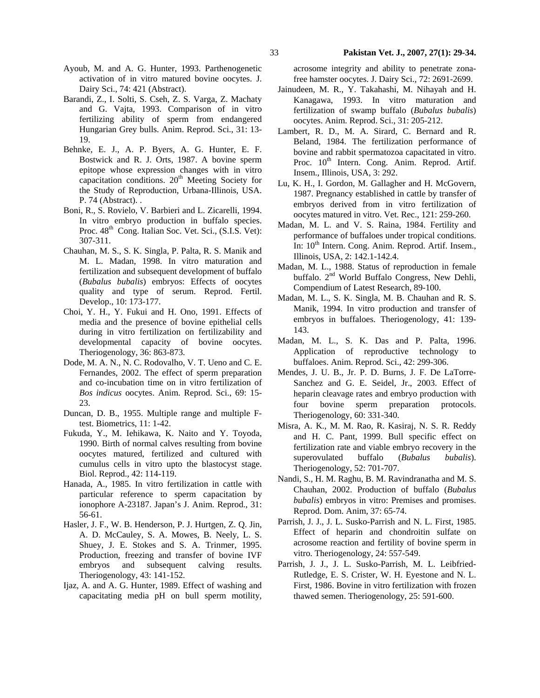- Ayoub, M. and A. G. Hunter, 1993. Parthenogenetic activation of in vitro matured bovine oocytes. J. Dairy Sci., 74: 421 (Abstract).
- Barandi, Z., I. Solti, S. Cseh, Z. S. Varga, Z. Machaty and G. Vajta, 1993. Comparison of in vitro fertilizing ability of sperm from endangered Hungarian Grey bulls. Anim. Reprod. Sci., 31: 13- 19.
- Behnke, E. J., A. P. Byers, A. G. Hunter, E. F. Bostwick and R. J. Orts, 1987. A bovine sperm epitope whose expression changes with in vitro capacitation conditions.  $20<sup>th</sup>$  Meeting Society for the Study of Reproduction, Urbana-Illinois, USA. P. 74 (Abstract). .
- Boni, R., S. Rovielo, V. Barbieri and L. Zicarelli, 1994. In vitro embryo production in buffalo species. Proc.  $48<sup>th</sup>$  Cong. Italian Soc. Vet. Sci., (S.I.S. Vet): 307-311.
- Chauhan, M. S., S. K. Singla, P. Palta, R. S. Manik and M. L. Madan, 1998. In vitro maturation and fertilization and subsequent development of buffalo (*Bubalus bubalis*) embryos: Effects of oocytes quality and type of serum. Reprod. Fertil. Develop., 10: 173-177.
- Choi, Y. H., Y. Fukui and H. Ono, 1991. Effects of media and the presence of bovine epithelial cells during in vitro fertilization on fertilizability and developmental capacity of bovine oocytes. Theriogenology, 36: 863-873.
- Dode, M. A. N., N. C. Rodovalho, V. T. Ueno and C. E. Fernandes, 2002. The effect of sperm preparation and co-incubation time on in vitro fertilization of *Bos indicus* oocytes. Anim. Reprod. Sci., 69: 15- 23.
- Duncan, D. B., 1955. Multiple range and multiple Ftest. Biometrics, 11: 1-42.
- Fukuda, Y., M. Iehikawa, K. Naito and Y. Toyoda, 1990. Birth of normal calves resulting from bovine oocytes matured, fertilized and cultured with cumulus cells in vitro upto the blastocyst stage. Biol. Reprod., 42: 114-119.
- Hanada, A., 1985. In vitro fertilization in cattle with particular reference to sperm capacitation by ionophore A-23187. Japan's J. Anim. Reprod., 31: 56-61.
- Hasler, J. F., W. B. Henderson, P. J. Hurtgen, Z. Q. Jin, A. D. McCauley, S. A. Mowes, B. Neely, L. S. Shuey, J. E. Stokes and S. A. Trinmer, 1995. Production, freezing and transfer of bovine IVF embryos and subsequent calving results. Theriogenology, 43: 141-152.
- Ijaz, A. and A. G. Hunter, 1989. Effect of washing and capacitating media pH on bull sperm motility,

acrosome integrity and ability to penetrate zonafree hamster oocytes. J. Dairy Sci., 72: 2691-2699.

- Jainudeen, M. R., Y. Takahashi, M. Nihayah and H. Kanagawa, 1993. In vitro maturation and fertilization of swamp buffalo (*Bubalus bubalis*) oocytes. Anim. Reprod. Sci., 31: 205-212.
- Lambert, R. D., M. A. Sirard, C. Bernard and R. Beland, 1984. The fertilization performance of bovine and rabbit spermatozoa capacitated in vitro. Proc.  $10^{th}$  Intern. Cong. Anim. Reprod. Artif. Insem., Illinois, USA, 3: 292.
- Lu, K. H., I. Gordon, M. Gallagher and H. McGovern, 1987. Pregnancy established in cattle by transfer of embryos derived from in vitro fertilization of oocytes matured in vitro. Vet. Rec., 121: 259-260.
- Madan, M. L. and V. S. Raina, 1984. Fertility and performance of buffaloes under tropical conditions. In: 10<sup>th</sup> Intern. Cong. Anim. Reprod. Artif. Insem., Illinois, USA, 2: 142.1-142.4.
- Madan, M. L., 1988. Status of reproduction in female buffalo. 2nd World Buffalo Congress, New Dehli, Compendium of Latest Research, 89-100.
- Madan, M. L., S. K. Singla, M. B. Chauhan and R. S. Manik, 1994. In vitro production and transfer of embryos in buffaloes. Theriogenology, 41: 139- 143.
- Madan, M. L., S. K. Das and P. Palta, 1996. Application of reproductive technology to buffaloes. Anim. Reprod. Sci., 42: 299-306.
- Mendes, J. U. B., Jr. P. D. Burns, J. F. De LaTorre-Sanchez and G. E. Seidel, Jr., 2003. Effect of heparin cleavage rates and embryo production with four bovine sperm preparation protocols. Theriogenology, 60: 331-340.
- Misra, A. K., M. M. Rao, R. Kasiraj, N. S. R. Reddy and H. C. Pant, 1999. Bull specific effect on fertilization rate and viable embryo recovery in the superovulated buffalo (*Bubalus bubalis*). Theriogenology, 52: 701-707.
- Nandi, S., H. M. Raghu, B. M. Ravindranatha and M. S. Chauhan, 2002. Production of buffalo (*Bubalus bubalis*) embryos in vitro: Premises and promises. Reprod. Dom. Anim, 37: 65-74.
- Parrish, J. J., J. L. Susko-Parrish and N. L. First, 1985. Effect of heparin and chondroitin sulfate on acrosome reaction and fertility of bovine sperm in vitro. Theriogenology, 24: 557-549.
- Parrish, J. J., J. L. Susko-Parrish, M. L. Leibfried-Rutledge, E. S. Crister, W. H. Eyestone and N. L. First, 1986. Bovine in vitro fertilization with frozen thawed semen. Theriogenology, 25: 591-600.